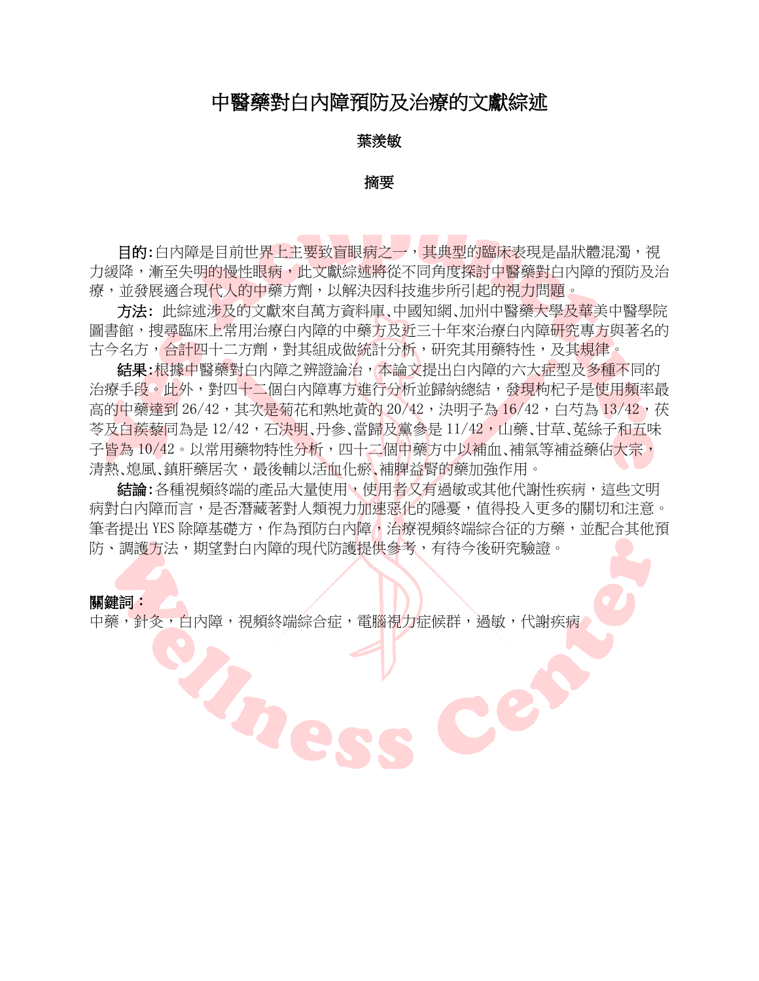## 中醫藥對白內障預防及治療的文獻綜述

### 葉羨敏

#### 摘要

目的:白內障是目前世界上主要致盲眼病之一,其典型的臨床表現是晶狀體混濁,視 力緩降,漸至失明的慢性眼病,此文獻綜述將從不同角度探討中醫藥對白內障的預防及治 療,並發展適合現代人的中藥方劑,以解決因科技進步所引起的視力問題。

方法: 此綜述涉及的文獻來自萬方資料庫、中國知網、加州中醫藥大學及華美中醫學院 圖書館,搜尋臨床上常用治療白內障的中藥方及近三十年來治療白內障研究專方與著名的 古今名方,合計四十二方劑,對其組成做統計分析,研究其用藥特性,及其規律。

結果:根據中醫藥對白內障之辨證論治,本論文提出白內障的六大症型及多種不同的 治療手段。此外,對四十二個白內障專方進行分析並歸納總結,發現枸杞子是使用頻率最 高的中藥達到 26/42,其次是菊花和熟地黃的 20/42,決明子為 16/42,白芍為 13/42,茯 冬及白蒺藜同為是 12/42,石決明、丹參、當歸及黨參是 11/42,山藥、甘草、菟絲子和五味 子皆為 10/42。以常用藥物特性分析,四十二個中藥方中以補血、補氣等補益藥佔大宗, 清熱、熄風、鎮肝藥居次,最後輔以活血化瘀、補脾益腎的藥加強作用。

結論:各種視頻終端的產品大量使用,使用者又有過敏或其他代謝性疾病,這些文明 病對白內障而言,是否潛藏著對人類視力加速惡化的隱憂,值得投入更多的關切和注意。 筆者提出 YES 除障基礎方,作為預防白內障, 治療視頻終端綜合征的方藥, 並配合其他預 防、調護方法,期望對白內障的現代防護提供參考,有待今後研究驗證。

#### 關鍵詞:

中藥,針灸,白內障,視頻終端綜合症,電腦視力症候群,過敏,代謝疾病

Rne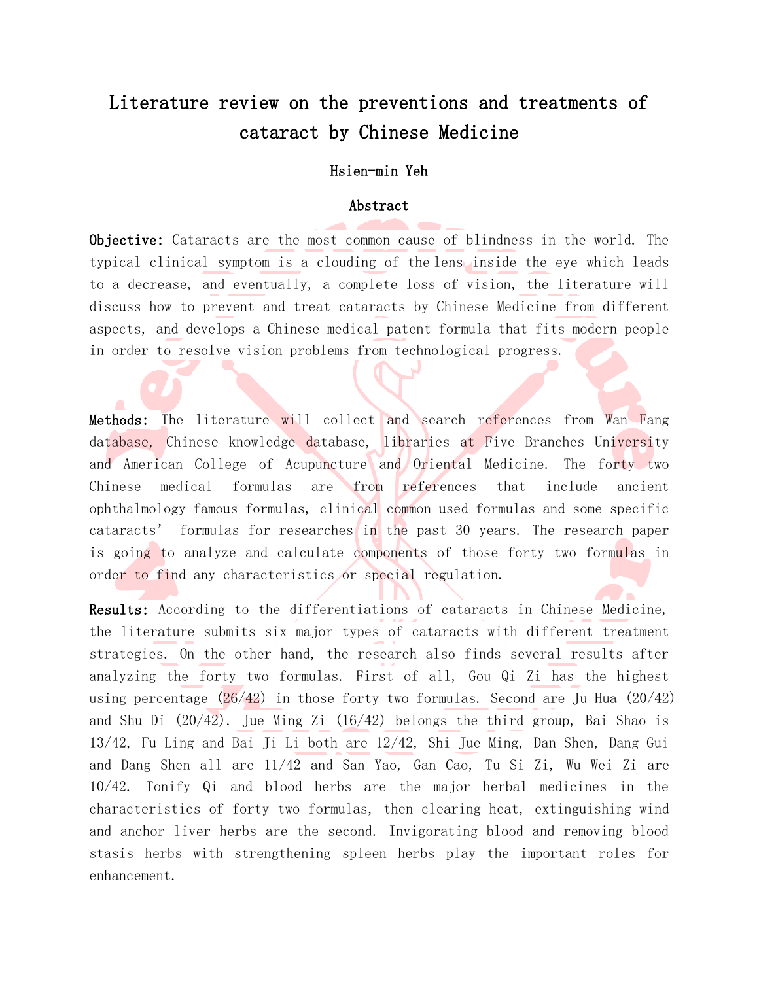# Literature review on the preventions and treatments of cataract by Chinese Medicine

#### Hsien-min Yeh

#### Abstract

Objective: Cataracts are the most common cause of blindness in the world. The typical clinical symptom is a clouding of the lens inside the eye which leads to a decrease, and eventually, a complete loss of vision, the literature will discuss how to prevent and treat cataracts by Chinese Medicine from different aspects, and develops a Chinese medical patent formula that fits modern people in order to resolve vision problems from technological progress.

Methods: The literature will collect and search references from Wan Fang database, Chinese knowledge database, libraries at Five Branches University and American College of Acupuncture and Oriental Medicine. The forty two Chinese medical formulas are from references that include ancient ophthalmology famous formulas, clinical common used formulas and some specific cataracts' formulas for researches in the past 30 years. The research paper is going to analyze and calculate components of those forty two formulas in order to find any characteristics or special regulation.

Results: According to the differentiations of cataracts in Chinese Medicine, the literature submits six major types of cataracts with different treatment strategies. On the other hand, the research also finds several results after analyzing the forty two formulas. First of all, Gou Qi Zi has the highest using percentage  $(26/42)$  in those forty two formulas. Second are Ju Hua  $(20/42)$ and Shu Di  $(20/42)$ . Jue Ming Zi  $(16/42)$  belongs the third group, Bai Shao is 13/42, Fu Ling and Bai Ji Li both are 12/42, Shi Jue Ming, Dan Shen, Dang Gui and Dang Shen all are 11/42 and San Yao, Gan Cao, Tu Si Zi, Wu Wei Zi are 10/42. Tonify Qi and blood herbs are the major herbal medicines in the characteristics of forty two formulas, then clearing heat, extinguishing wind and anchor liver herbs are the second. Invigorating blood and removing blood stasis herbs with strengthening spleen herbs play the important roles for enhancement.